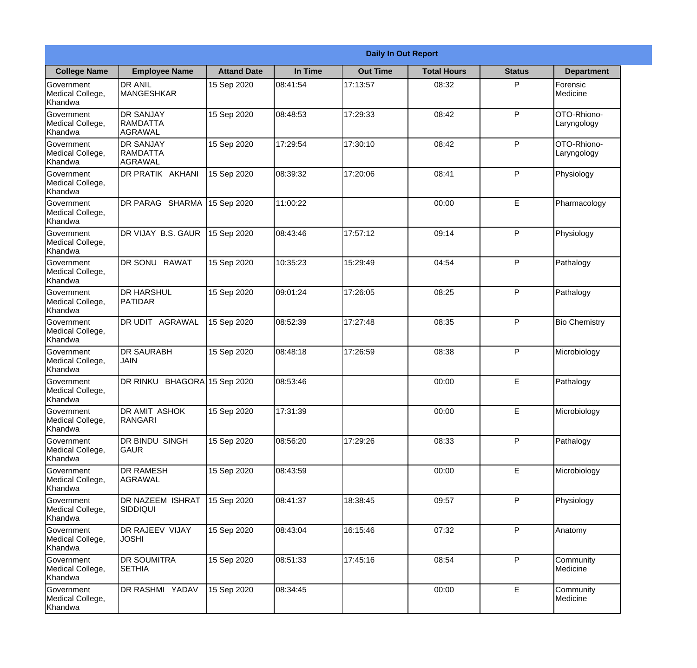|                                                  |                                                       |                     |          | <b>Daily In Out Report</b> |                    |               |                             |
|--------------------------------------------------|-------------------------------------------------------|---------------------|----------|----------------------------|--------------------|---------------|-----------------------------|
| <b>College Name</b>                              | <b>Employee Name</b>                                  | <b>Attand Date</b>  | In Time  | <b>Out Time</b>            | <b>Total Hours</b> | <b>Status</b> | <b>Department</b>           |
| Government<br>Medical College,<br>Khandwa        | <b>DR ANIL</b><br><b>MANGESHKAR</b>                   | 15 Sep 2020         | 08:41:54 | 17:13:57                   | 08:32              | P             | <b>Forensic</b><br>Medicine |
| Government<br>Medical College,<br>Khandwa        | <b>DR SANJAY</b><br><b>RAMDATTA</b><br><b>AGRAWAL</b> | 15 Sep 2020         | 08:48:53 | 17:29:33                   | 08:42              | P             | OTO-Rhiono-<br>Laryngology  |
| <b>Government</b><br>Medical College,<br>Khandwa | <b>DR SANJAY</b><br><b>RAMDATTA</b><br>AGRAWAL        | 15 Sep 2020         | 17:29:54 | 17:30:10                   | 08:42              | P             | OTO-Rhiono-<br>Laryngology  |
| <b>Government</b><br>Medical College,<br>Khandwa | DR PRATIK AKHANI                                      | 15 Sep 2020         | 08:39:32 | 17:20:06                   | 08:41              | P             | Physiology                  |
| Government<br>Medical College,<br>Khandwa        | DR PARAG SHARMA                                       | 15 Sep 2020         | 11:00:22 |                            | 00:00              | E             | Pharmacology                |
| Government<br>Medical College,<br>Khandwa        | DR VIJAY B.S. GAUR                                    | 15 Sep 2020         | 08:43:46 | 17:57:12                   | 09:14              | P             | Physiology                  |
| <b>Government</b><br>Medical College,<br>Khandwa | DR SONU RAWAT                                         | 15 Sep 2020         | 10:35:23 | 15:29:49                   | 04:54              | P             | Pathalogy                   |
| <b>Government</b><br>Medical College,<br>Khandwa | <b>DR HARSHUL</b><br><b>PATIDAR</b>                   | 15 Sep 2020         | 09:01:24 | 17:26:05                   | 08:25              | P             | Pathalogy                   |
| Government<br>Medical College,<br>Khandwa        | <b>DR UDIT AGRAWAL</b>                                | 15 Sep 2020         | 08:52:39 | 17:27:48                   | 08:35              | P             | <b>Bio Chemistry</b>        |
| Government<br>Medical College,<br>Khandwa        | <b>DR SAURABH</b><br><b>JAIN</b>                      | 15 Sep 2020         | 08:48:18 | 17:26:59                   | 08:38              | P             | Microbiology                |
| Government<br>Medical College,<br>Khandwa        | DR RINKU                                              | BHAGORA 15 Sep 2020 | 08:53:46 |                            | 00:00              | E             | Pathalogy                   |
| Government<br>Medical College,<br>Khandwa        | DR AMIT ASHOK<br>RANGARI                              | 15 Sep 2020         | 17:31:39 |                            | 00:00              | E             | Microbiology                |
| Government<br>Medical College,<br>Khandwa        | DR BINDU SINGH<br><b>GAUR</b>                         | 15 Sep 2020         | 08:56:20 | 17:29:26                   | 08:33              | P             | Pathalogy                   |
| Government<br>Medical College,<br>Khandwa        | <b>DR RAMESH</b><br>AGRAWAL                           | 15 Sep 2020         | 08:43:59 |                            | 00:00              | $\mathsf E$   | Microbiology                |
| <b>Government</b><br>Medical College,<br>Khandwa | <b>DR NAZEEM ISHRAT</b><br> SIDDIQUI                  | 15 Sep 2020         | 08:41:37 | 18:38:45                   | 09:57              | $\mathsf{P}$  | Physiology                  |
| Government<br>Medical College,<br>Khandwa        | <b>DR RAJEEV VIJAY</b><br><b>JOSHI</b>                | 15 Sep 2020         | 08:43:04 | 16:15:46                   | 07:32              | P             | Anatomy                     |
| Government<br>Medical College,<br>Khandwa        | <b>DR SOUMITRA</b><br><b>SETHIA</b>                   | 15 Sep 2020         | 08:51:33 | 17:45:16                   | 08:54              | P             | Community<br>Medicine       |
| Government<br>Medical College,<br>Khandwa        | DR RASHMI YADAV                                       | 15 Sep 2020         | 08:34:45 |                            | 00:00              | $\mathsf E$   | Community<br>Medicine       |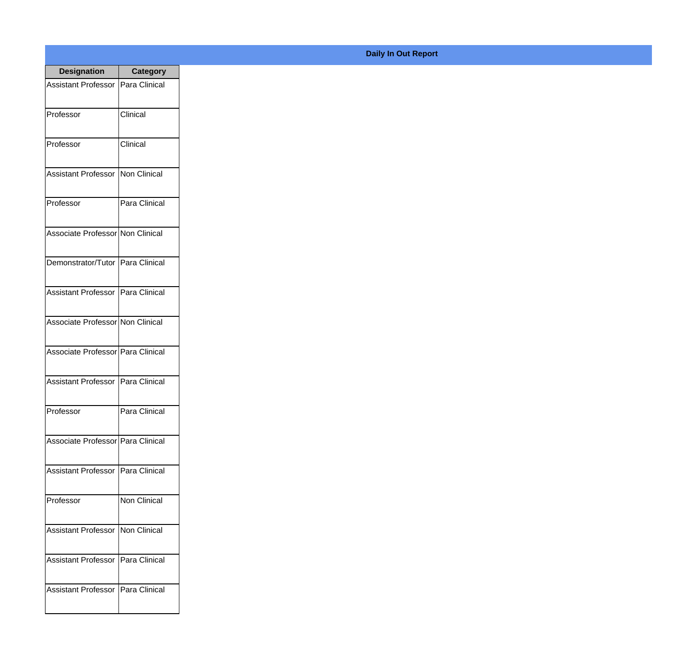| <b>Designation</b>                  | <b>Category</b>     |
|-------------------------------------|---------------------|
| Assistant Professor   Para Clinical |                     |
| Professor                           | Clinical            |
| Professor                           | Clinical            |
| <b>Assistant Professor</b>          | Non Clinical        |
| Professor                           | Para Clinical       |
| Associate Professor Non Clinical    |                     |
| Demonstrator/Tutor   Para Clinical  |                     |
| Assistant Professor   Para Clinical |                     |
| Associate Professor Non Clinical    |                     |
| Associate Professor Para Clinical   |                     |
| <b>Assistant Professor</b>          | Para Clinical       |
| Professor                           | Para Clinical       |
| Associate Professor   Para Clinical |                     |
| Assistant Professor   Para Clinical |                     |
| Professor                           | <b>Non Clinical</b> |
| <b>Assistant Professor</b>          | Non Clinical        |
| <b>Assistant Professor</b>          | Para Clinical       |
| Assistant Professor   Para Clinical |                     |

## **Daily In Out Report**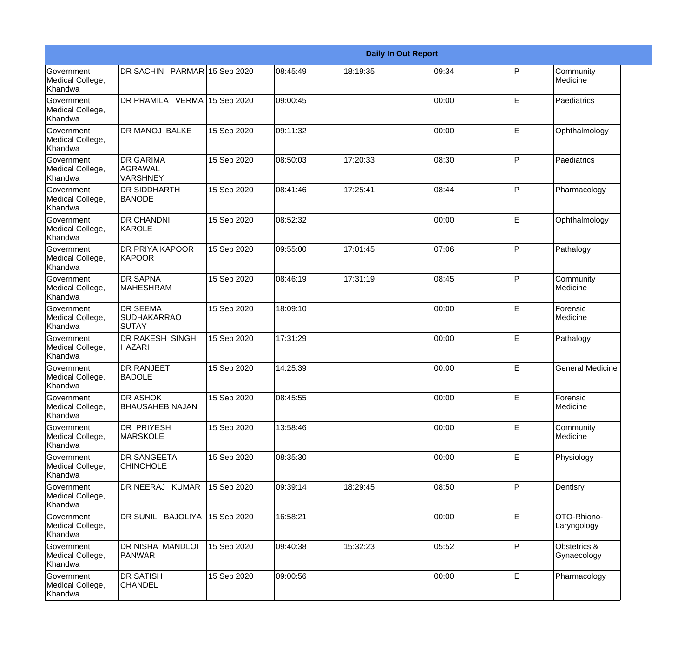|                                                  |                                                       |             |          |          | <b>Daily In Out Report</b> |              |                             |
|--------------------------------------------------|-------------------------------------------------------|-------------|----------|----------|----------------------------|--------------|-----------------------------|
| Government<br>Medical College,<br>Khandwa        | DR SACHIN PARMAR 15 Sep 2020                          |             | 08:45:49 | 18:19:35 | 09:34                      | $\mathsf{P}$ | Community<br>Medicine       |
| Government<br>Medical College,<br>Khandwa        | DR PRAMILA VERMA 15 Sep 2020                          |             | 09:00:45 |          | 00:00                      | E            | Paediatrics                 |
| <b>Government</b><br>Medical College,<br>Khandwa | <b>DR MANOJ BALKE</b>                                 | 15 Sep 2020 | 09:11:32 |          | 00:00                      | E            | Ophthalmology               |
| Government<br>Medical College,<br>Khandwa        | <b>DR GARIMA</b><br><b>AGRAWAL</b><br><b>VARSHNEY</b> | 15 Sep 2020 | 08:50:03 | 17:20:33 | 08:30                      | $\mathsf{P}$ | Paediatrics                 |
| <b>Government</b><br>Medical College,<br>Khandwa | <b>DR SIDDHARTH</b><br><b>BANODE</b>                  | 15 Sep 2020 | 08:41:46 | 17:25:41 | 08:44                      | $\mathsf{P}$ | Pharmacology                |
| Government<br>Medical College,<br><b>Khandwa</b> | <b>DR CHANDNI</b><br>KAROLE                           | 15 Sep 2020 | 08:52:32 |          | 00:00                      | E            | Ophthalmology               |
| Government<br>Medical College,<br>Khandwa        | <b>DR PRIYA KAPOOR</b><br><b>KAPOOR</b>               | 15 Sep 2020 | 09:55:00 | 17:01:45 | 07:06                      | $\mathsf{P}$ | Pathalogy                   |
| <b>Government</b><br>Medical College,<br>Khandwa | <b>DR SAPNA</b><br><b>MAHESHRAM</b>                   | 15 Sep 2020 | 08:46:19 | 17:31:19 | 08:45                      | $\mathsf{P}$ | Community<br>Medicine       |
| Government<br>Medical College,<br>Khandwa        | <b>DR SEEMA</b><br><b>SUDHAKARRAO</b><br>SUTAY        | 15 Sep 2020 | 18:09:10 |          | 00:00                      | E            | Forensic<br>Medicine        |
| Government<br>Medical College,<br>Khandwa        | DR RAKESH SINGH<br><b>HAZARI</b>                      | 15 Sep 2020 | 17:31:29 |          | 00:00                      | E            | Pathalogy                   |
| <b>Government</b><br>Medical College,<br>Khandwa | <b>DR RANJEET</b><br><b>BADOLE</b>                    | 15 Sep 2020 | 14:25:39 |          | 00:00                      | E            | <b>General Medicine</b>     |
| Government<br>Medical College,<br>Khandwa        | DR ASHOK<br><b>BHAUSAHEB NAJAN</b>                    | 15 Sep 2020 | 08:45:55 |          | 00:00                      | E            | Forensic<br>Medicine        |
| Government<br>Medical College,<br>Khandwa        | DR PRIYESH<br><b>MARSKOLE</b>                         | 15 Sep 2020 | 13:58:46 |          | 00:00                      | E            | Community<br>Medicine       |
| <b>Government</b><br>Medical College,<br>Khandwa | DR SANGEETA<br><b>CHINCHOLE</b>                       | 15 Sep 2020 | 08:35:30 |          | 00:00                      | E            | Physiology                  |
| Government<br>Medical College,<br>Khandwa        | DR NEERAJ KUMAR                                       | 15 Sep 2020 | 09:39:14 | 18:29:45 | 08:50                      | $\mathsf{P}$ | Dentisry                    |
| Government<br>Medical College,<br>Khandwa        | DR SUNIL BAJOLIYA                                     | 15 Sep 2020 | 16:58:21 |          | 00:00                      | E            | OTO-Rhiono-<br>Laryngology  |
| Government<br>Medical College,<br>Khandwa        | DR NISHA MANDLOI<br><b>PANWAR</b>                     | 15 Sep 2020 | 09:40:38 | 15:32:23 | 05:52                      | P            | Obstetrics &<br>Gynaecology |
| Government<br>Medical College,<br>Khandwa        | <b>DR SATISH</b><br><b>CHANDEL</b>                    | 15 Sep 2020 | 09:00:56 |          | 00:00                      | E            | Pharmacology                |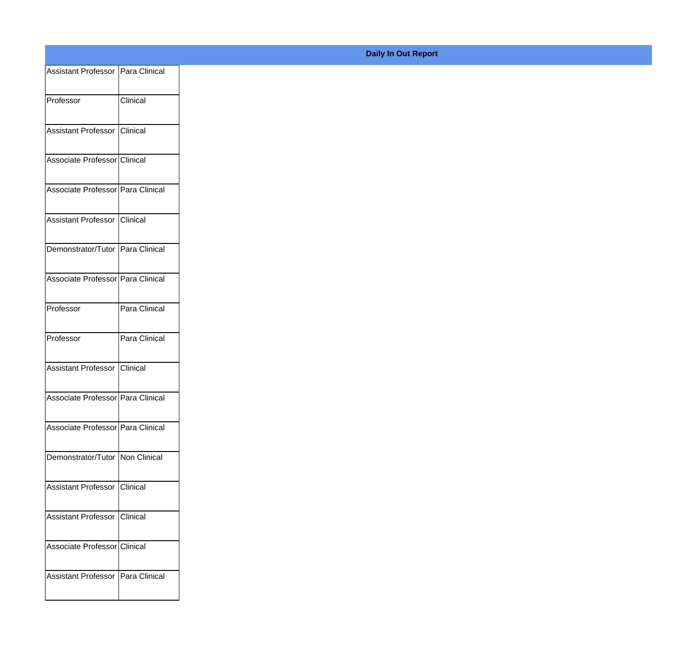| Assistant Professor   Para Clinical |               |
|-------------------------------------|---------------|
| Professor                           | Clinical      |
|                                     |               |
| Assistant Professor Clinical        |               |
| Associate Professor Clinical        |               |
| Associate Professor Para Clinical   |               |
| Assistant Professor Clinical        |               |
| Demonstrator/Tutor Para Clinical    |               |
|                                     |               |
| Associate Professor Para Clinical   |               |
| Professor                           | Para Clinical |
| Professor                           | Para Clinical |
| Assistant Professor Clinical        |               |
| Associate Professor Para Clinical   |               |
| Associate Professor Para Clinical   |               |
|                                     |               |
| Demonstrator/Tutor   Non Clinical   |               |
| Assistant Professor Clinical        |               |
| Assistant Professor Clinical        |               |
| Associate Professor Clinical        |               |
|                                     |               |
| Assistant Professor   Para Clinical |               |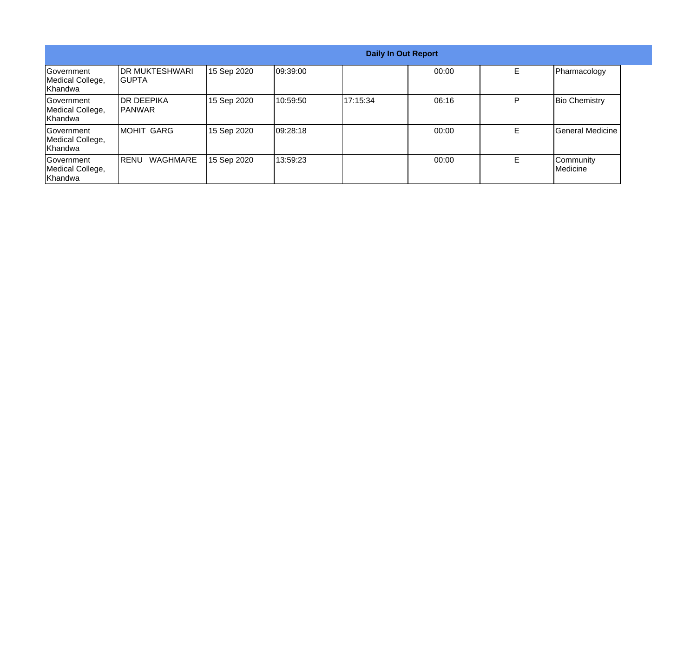|                                                   | <b>Daily In Out Report</b>       |             |          |          |       |    |                                |
|---------------------------------------------------|----------------------------------|-------------|----------|----------|-------|----|--------------------------------|
| Government<br>Medical College,<br>Khandwa         | <b>IDR MUKTESHWARI</b><br>IGUPTA | 15 Sep 2020 | 09:39:00 |          | 00:00 | E  | Pharmacology                   |
| <b>Sovernment</b><br>Medical College,<br>Khandwa  | <b>IDR DEEPIKA</b><br>IPANWAR    | 15 Sep 2020 | 10:59:50 | 17:15:34 | 06:16 | P  | <b>Bio Chemistry</b>           |
| <b>IGovernment</b><br>Medical College,<br>Khandwa | IMOHIT GARG                      | 15 Sep 2020 | 09:28:18 |          | 00:00 | E. | General Medicine               |
| <b>Government</b><br>Medical College,<br>Khandwa  | WAGHMARE<br><b>IRENU</b>         | 15 Sep 2020 | 13:59:23 |          | 00:00 | E. | Community<br><b>I</b> Medicine |